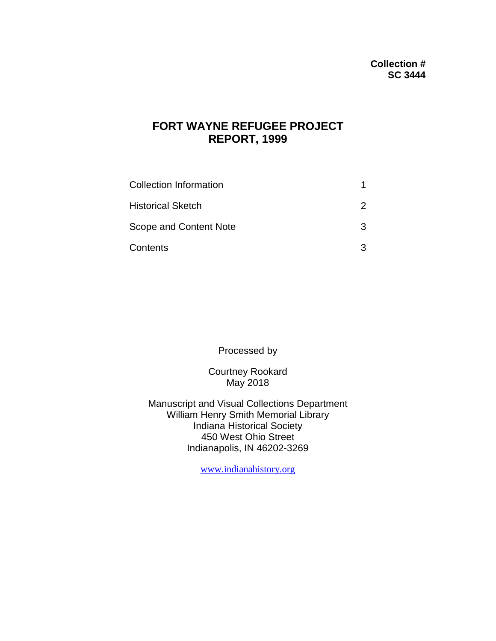# **FORT WAYNE REFUGEE PROJECT REPORT, 1999**

| <b>Collection Information</b> |   |
|-------------------------------|---|
| <b>Historical Sketch</b>      |   |
| Scope and Content Note        | ર |
| Contents                      |   |

Processed by

Courtney Rookard May 2018

Manuscript and Visual Collections Department William Henry Smith Memorial Library Indiana Historical Society 450 West Ohio Street Indianapolis, IN 46202-3269

[www.indianahistory.org](http://www.indianahistory.org/)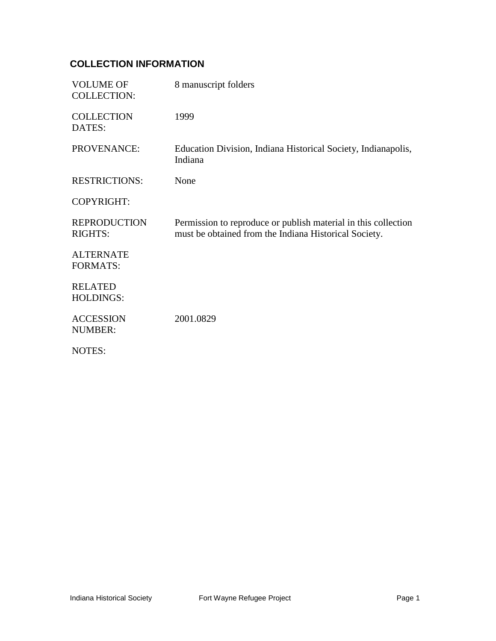## **COLLECTION INFORMATION**

| <b>VOLUME OF</b><br><b>COLLECTION:</b> | 8 manuscript folders                                                                                                    |
|----------------------------------------|-------------------------------------------------------------------------------------------------------------------------|
| <b>COLLECTION</b><br>DATES:            | 1999                                                                                                                    |
| PROVENANCE:                            | Education Division, Indiana Historical Society, Indianapolis,<br>Indiana                                                |
| <b>RESTRICTIONS:</b>                   | None                                                                                                                    |
| <b>COPYRIGHT:</b>                      |                                                                                                                         |
| <b>REPRODUCTION</b><br><b>RIGHTS:</b>  | Permission to reproduce or publish material in this collection<br>must be obtained from the Indiana Historical Society. |
| <b>ALTERNATE</b><br><b>FORMATS:</b>    |                                                                                                                         |
| <b>RELATED</b><br><b>HOLDINGS:</b>     |                                                                                                                         |
| <b>ACCESSION</b><br><b>NUMBER:</b>     | 2001.0829                                                                                                               |
| NOTES:                                 |                                                                                                                         |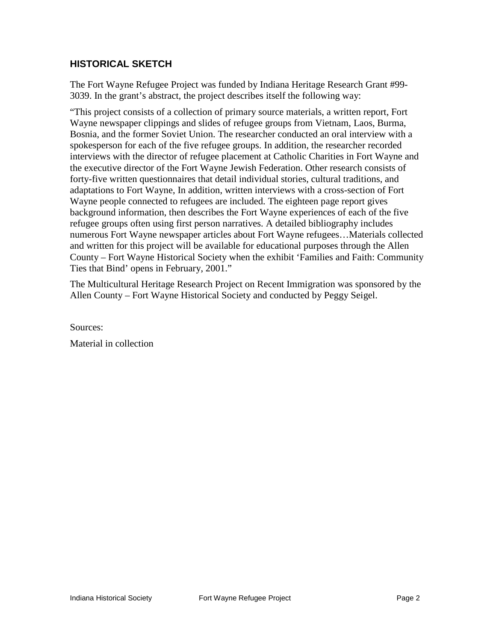#### **HISTORICAL SKETCH**

The Fort Wayne Refugee Project was funded by Indiana Heritage Research Grant #99- 3039. In the grant's abstract, the project describes itself the following way:

"This project consists of a collection of primary source materials, a written report, Fort Wayne newspaper clippings and slides of refugee groups from Vietnam, Laos, Burma, Bosnia, and the former Soviet Union. The researcher conducted an oral interview with a spokesperson for each of the five refugee groups. In addition, the researcher recorded interviews with the director of refugee placement at Catholic Charities in Fort Wayne and the executive director of the Fort Wayne Jewish Federation. Other research consists of forty-five written questionnaires that detail individual stories, cultural traditions, and adaptations to Fort Wayne, In addition, written interviews with a cross-section of Fort Wayne people connected to refugees are included. The eighteen page report gives background information, then describes the Fort Wayne experiences of each of the five refugee groups often using first person narratives. A detailed bibliography includes numerous Fort Wayne newspaper articles about Fort Wayne refugees…Materials collected and written for this project will be available for educational purposes through the Allen County – Fort Wayne Historical Society when the exhibit 'Families and Faith: Community Ties that Bind' opens in February, 2001."

The Multicultural Heritage Research Project on Recent Immigration was sponsored by the Allen County – Fort Wayne Historical Society and conducted by Peggy Seigel.

Sources:

Material in collection